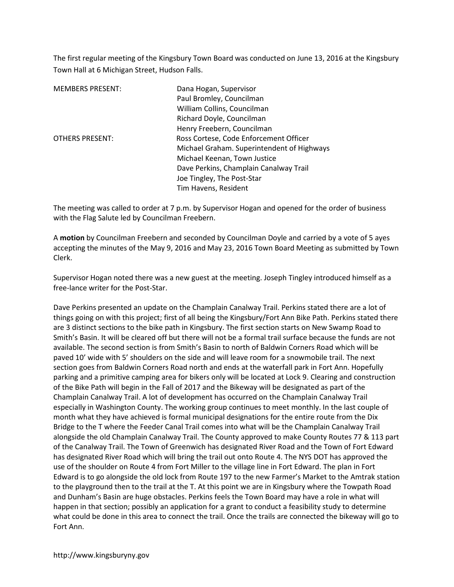The first regular meeting of the Kingsbury Town Board was conducted on June 13, 2016 at the Kingsbury Town Hall at 6 Michigan Street, Hudson Falls.

| <b>MEMBERS PRESENT:</b> | Dana Hogan, Supervisor                     |
|-------------------------|--------------------------------------------|
|                         | Paul Bromley, Councilman                   |
|                         | William Collins, Councilman                |
|                         | Richard Doyle, Councilman                  |
|                         | Henry Freebern, Councilman                 |
| <b>OTHERS PRESENT:</b>  | Ross Cortese, Code Enforcement Officer     |
|                         | Michael Graham. Superintendent of Highways |
|                         | Michael Keenan, Town Justice               |
|                         | Dave Perkins, Champlain Canalway Trail     |
|                         | Joe Tingley, The Post-Star                 |
|                         | Tim Havens, Resident                       |

The meeting was called to order at 7 p.m. by Supervisor Hogan and opened for the order of business with the Flag Salute led by Councilman Freebern.

A **motion** by Councilman Freebern and seconded by Councilman Doyle and carried by a vote of 5 ayes accepting the minutes of the May 9, 2016 and May 23, 2016 Town Board Meeting as submitted by Town Clerk.

Supervisor Hogan noted there was a new guest at the meeting. Joseph Tingley introduced himself as a free-lance writer for the Post-Star.

Dave Perkins presented an update on the Champlain Canalway Trail. Perkins stated there are a lot of things going on with this project; first of all being the Kingsbury/Fort Ann Bike Path. Perkins stated there are 3 distinct sections to the bike path in Kingsbury. The first section starts on New Swamp Road to Smith's Basin. It will be cleared off but there will not be a formal trail surface because the funds are not available. The second section is from Smith's Basin to north of Baldwin Corners Road which will be paved 10' wide with 5' shoulders on the side and will leave room for a snowmobile trail. The next section goes from Baldwin Corners Road north and ends at the waterfall park in Fort Ann. Hopefully parking and a primitive camping area for bikers only will be located at Lock 9. Clearing and construction of the Bike Path will begin in the Fall of 2017 and the Bikeway will be designated as part of the Champlain Canalway Trail. A lot of development has occurred on the Champlain Canalway Trail especially in Washington County. The working group continues to meet monthly. In the last couple of month what they have achieved is formal municipal designations for the entire route from the Dix Bridge to the T where the Feeder Canal Trail comes into what will be the Champlain Canalway Trail alongside the old Champlain Canalway Trail. The County approved to make County Routes 77 & 113 part of the Canalway Trail. The Town of Greenwich has designated River Road and the Town of Fort Edward has designated River Road which will bring the trail out onto Route 4. The NYS DOT has approved the use of the shoulder on Route 4 from Fort Miller to the village line in Fort Edward. The plan in Fort Edward is to go alongside the old lock from Route 197 to the new Farmer's Market to the Amtrak station to the playground then to the trail at the T. At this point we are in Kingsbury where the Towpath Road and Dunham's Basin are huge obstacles. Perkins feels the Town Board may have a role in what will happen in that section; possibly an application for a grant to conduct a feasibility study to determine what could be done in this area to connect the trail. Once the trails are connected the bikeway will go to Fort Ann.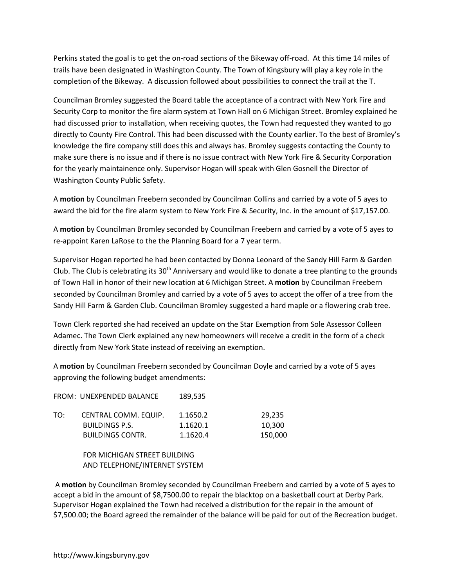Perkins stated the goal is to get the on-road sections of the Bikeway off-road. At this time 14 miles of trails have been designated in Washington County. The Town of Kingsbury will play a key role in the completion of the Bikeway. A discussion followed about possibilities to connect the trail at the T.

Councilman Bromley suggested the Board table the acceptance of a contract with New York Fire and Security Corp to monitor the fire alarm system at Town Hall on 6 Michigan Street. Bromley explained he had discussed prior to installation, when receiving quotes, the Town had requested they wanted to go directly to County Fire Control. This had been discussed with the County earlier. To the best of Bromley's knowledge the fire company still does this and always has. Bromley suggests contacting the County to make sure there is no issue and if there is no issue contract with New York Fire & Security Corporation for the yearly maintainence only. Supervisor Hogan will speak with Glen Gosnell the Director of Washington County Public Safety.

A **motion** by Councilman Freebern seconded by Councilman Collins and carried by a vote of 5 ayes to award the bid for the fire alarm system to New York Fire & Security, Inc. in the amount of \$17,157.00.

A **motion** by Councilman Bromley seconded by Councilman Freebern and carried by a vote of 5 ayes to re-appoint Karen LaRose to the the Planning Board for a 7 year term.

Supervisor Hogan reported he had been contacted by Donna Leonard of the Sandy Hill Farm & Garden Club. The Club is celebrating its  $30<sup>th</sup>$  Anniversary and would like to donate a tree planting to the grounds of Town Hall in honor of their new location at 6 Michigan Street. A **motion** by Councilman Freebern seconded by Councilman Bromley and carried by a vote of 5 ayes to accept the offer of a tree from the Sandy Hill Farm & Garden Club. Councilman Bromley suggested a hard maple or a flowering crab tree.

Town Clerk reported she had received an update on the Star Exemption from Sole Assessor Colleen Adamec. The Town Clerk explained any new homeowners will receive a credit in the form of a check directly from New York State instead of receiving an exemption.

A **motion** by Councilman Freebern seconded by Councilman Doyle and carried by a vote of 5 ayes approving the following budget amendments:

|     | FROM: UNEXPENDED BALANCE                      | 189,535              |                  |
|-----|-----------------------------------------------|----------------------|------------------|
| TO: | CENTRAL COMM. EQUIP.<br><b>BUILDINGS P.S.</b> | 1.1650.2<br>1.1620.1 | 29.235<br>10.300 |
|     | <b>BUILDINGS CONTR.</b>                       | 1.1620.4             | 150,000          |

## FOR MICHIGAN STREET BUILDING AND TELEPHONE/INTERNET SYSTEM

 A **motion** by Councilman Bromley seconded by Councilman Freebern and carried by a vote of 5 ayes to accept a bid in the amount of \$8,7500.00 to repair the blacktop on a basketball court at Derby Park. Supervisor Hogan explained the Town had received a distribution for the repair in the amount of \$7,500.00; the Board agreed the remainder of the balance will be paid for out of the Recreation budget.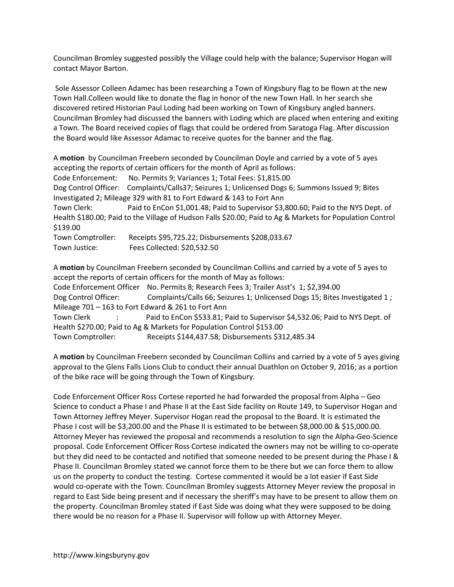Councilman Bromley suggested possibly the Village could help with the balance; Supervisor Hogan will contact Mayor Barton.

 Sole Assessor Colleen Adamec has been researching a Town of Kingsbury flag to be flown at the new Town Hall.Colleen would like to donate the flag in honor of the new Town Hall. In her search she discovered retired Historian Paul Loding had been working on Town of Kingsbury angled banners. Councilman Bromley had discussed the banners with Loding which are placed when entering and exiting a Town. The Board received copies of flags that could be ordered from Saratoga Flag. After discussion the Board would like Assessor Adamac to receive quotes for the banner and the flag.

A **motion** by Councilman Freebern seconded by Councilman Doyle and carried by a vote of 5 ayes accepting the reports of certain officers for the month of April as follows: Code Enforcement: No. Permits 9; Variances 1; Total Fees: \$1,815.00 Dog Control Officer: Complaints/Calls37; Seizures 1; Unlicensed Dogs 6; Summons Issued 9; Bites Investigated 2; Mileage 329 with 81 to Fort Edward & 143 to Fort Ann Town Clerk: Paid to EnCon \$1,001.48; Paid to Supervisor \$3,800.60; Paid to the NYS Dept. of Health \$180.00; Paid to the Village of Hudson Falls \$20.00; Paid to Ag & Markets for Population Control \$139.00 Town Comptroller: Receipts \$95,725.22; Disbursements \$208,033.67 Town Justice: Fees Collected: \$20,532.50

A **motion** by Councilman Freebern seconded by Councilman Collins and carried by a vote of 5 ayes to accept the reports of certain officers for the month of May as follows: Code Enforcement Officer No. Permits 8; Research Fees 3; Trailer Asst's 1; \$2,394.00 Dog Control Officer: Complaints/Calls 66; Seizures 1; Unlicensed Dogs 15; Bites Investigated 1; Mileage 701 – 163 to Fort Edward & 261 to Fort Ann Town Clerk : Paid to EnCon \$533.81; Paid to Supervisor \$4,532.06; Paid to NYS Dept. of Health \$270.00; Paid to Ag & Markets for Population Control \$153.00 Town Comptroller: Receipts \$144,437.58; Disbursements \$312,485.34

A **motion** by Councilman Freebern seconded by Councilman Collins and carried by a vote of 5 ayes giving approval to the Glens Falls Lions Club to conduct their annual Duathlon on October 9, 2016; as a portion of the bike race will be going through the Town of Kingsbury.

Code Enforcement Officer Ross Cortese reported he had forwarded the proposal from Alpha – Geo Science to conduct a Phase I and Phase II at the East Side facility on Route 149, to Supervisor Hogan and Town Attorney Jeffrey Meyer. Supervisor Hogan read the proposal to the Board. It is estimated the Phase I cost will be \$3,200.00 and the Phase II is estimated to be between \$8,000.00 & \$15,000.00. Attorney Meyer has reviewed the proposal and recommends a resolution to sign the Alpha-Geo-Science proposal. Code Enforcement Officer Ross Cortese indicated the owners may not be willing to co-operate but they did need to be contacted and notified that someone needed to be present during the Phase I & Phase II. Councilman Bromley stated we cannot force them to be there but we can force them to allow us on the property to conduct the testing. Cortese commented it would be a lot easier if East Side would co-operate with the Town. Councilman Bromley suggests Attorney Meyer review the proposal in regard to East Side being present and if necessary the sheriff's may have to be present to allow them on the property. Councilman Bromley stated if East Side was doing what they were supposed to be doing there would be no reason for a Phase II. Supervisor will follow up with Attorney Meyer.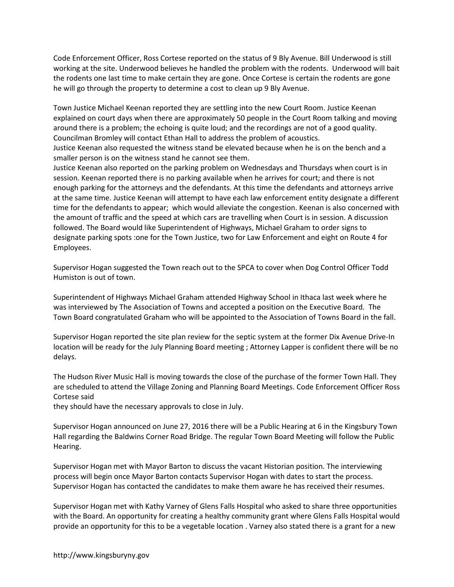Code Enforcement Officer, Ross Cortese reported on the status of 9 Bly Avenue. Bill Underwood is still working at the site. Underwood believes he handled the problem with the rodents. Underwood will bait the rodents one last time to make certain they are gone. Once Cortese is certain the rodents are gone he will go through the property to determine a cost to clean up 9 Bly Avenue.

Town Justice Michael Keenan reported they are settling into the new Court Room. Justice Keenan explained on court days when there are approximately 50 people in the Court Room talking and moving around there is a problem; the echoing is quite loud; and the recordings are not of a good quality. Councilman Bromley will contact Ethan Hall to address the problem of acoustics.

Justice Keenan also requested the witness stand be elevated because when he is on the bench and a smaller person is on the witness stand he cannot see them.

Justice Keenan also reported on the parking problem on Wednesdays and Thursdays when court is in session. Keenan reported there is no parking available when he arrives for court; and there is not enough parking for the attorneys and the defendants. At this time the defendants and attorneys arrive at the same time. Justice Keenan will attempt to have each law enforcement entity designate a different time for the defendants to appear; which would alleviate the congestion. Keenan is also concerned with the amount of traffic and the speed at which cars are travelling when Court is in session. A discussion followed. The Board would like Superintendent of Highways, Michael Graham to order signs to designate parking spots :one for the Town Justice, two for Law Enforcement and eight on Route 4 for Employees.

Supervisor Hogan suggested the Town reach out to the SPCA to cover when Dog Control Officer Todd Humiston is out of town.

Superintendent of Highways Michael Graham attended Highway School in Ithaca last week where he was interviewed by The Association of Towns and accepted a position on the Executive Board. The Town Board congratulated Graham who will be appointed to the Association of Towns Board in the fall.

Supervisor Hogan reported the site plan review for the septic system at the former Dix Avenue Drive-In location will be ready for the July Planning Board meeting ; Attorney Lapper is confident there will be no delays.

The Hudson River Music Hall is moving towards the close of the purchase of the former Town Hall. They are scheduled to attend the Village Zoning and Planning Board Meetings. Code Enforcement Officer Ross Cortese said

they should have the necessary approvals to close in July.

Supervisor Hogan announced on June 27, 2016 there will be a Public Hearing at 6 in the Kingsbury Town Hall regarding the Baldwins Corner Road Bridge. The regular Town Board Meeting will follow the Public Hearing.

Supervisor Hogan met with Mayor Barton to discuss the vacant Historian position. The interviewing process will begin once Mayor Barton contacts Supervisor Hogan with dates to start the process. Supervisor Hogan has contacted the candidates to make them aware he has received their resumes.

Supervisor Hogan met with Kathy Varney of Glens Falls Hospital who asked to share three opportunities with the Board. An opportunity for creating a healthy community grant where Glens Falls Hospital would provide an opportunity for this to be a vegetable location . Varney also stated there is a grant for a new